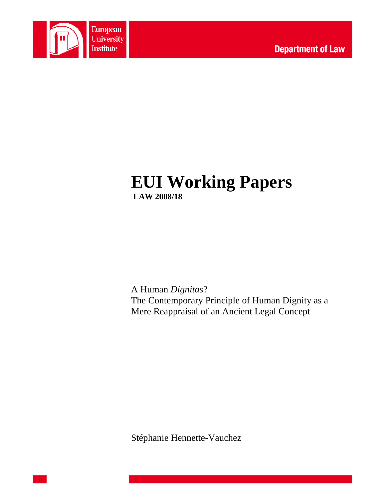

# **EUI Working Papers LAW 2008/18**

A Human *Dignitas*? The Contemporary Principle of Human Dignity as a Mere Reappraisal of an Ancient Legal Concept

Stéphanie Hennette-Vauchez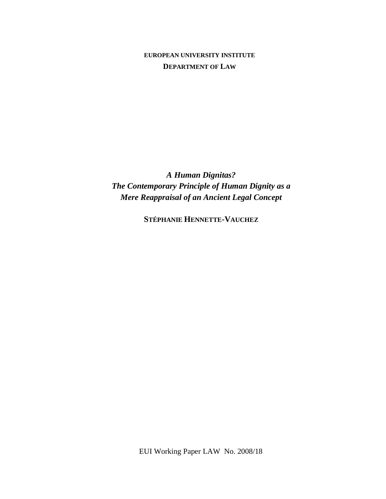# **EUROPEAN UNIVERSITY INSTITUTE DEPARTMENT OF LAW**

*A Human Dignitas? The Contemporary Principle of Human Dignity as a Mere Reappraisal of an Ancient Legal Concept* 

**STÉPHANIE HENNETTE-VAUCHEZ**

EUI Working Paper LAW No. 2008/18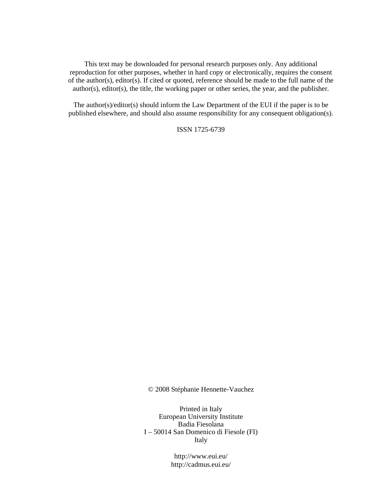This text may be downloaded for personal research purposes only. Any additional reproduction for other purposes, whether in hard copy or electronically, requires the consent of the author(s), editor(s). If cited or quoted, reference should be made to the full name of the author(s), editor(s), the title, the working paper or other series, the year, and the publisher.

The author(s)/editor(s) should inform the Law Department of the EUI if the paper is to be published elsewhere, and should also assume responsibility for any consequent obligation(s).

ISSN 1725-6739

© 2008 Stéphanie Hennette-Vauchez

Printed in Italy European University Institute Badia Fiesolana I – 50014 San Domenico di Fiesole (FI) Italy

> http://www.eui.eu/ http://cadmus.eui.eu/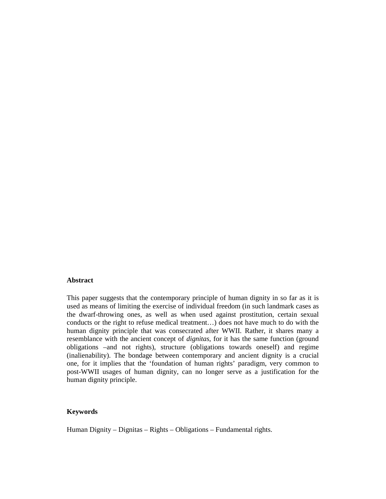#### **Abstract**

This paper suggests that the contemporary principle of human dignity in so far as it is used as means of limiting the exercise of individual freedom (in such landmark cases as the dwarf-throwing ones, as well as when used against prostitution, certain sexual conducts or the right to refuse medical treatment…) does not have much to do with the human dignity principle that was consecrated after WWII. Rather, it shares many a resemblance with the ancient concept of *dignitas*, for it has the same function (ground obligations –and not rights), structure (obligations towards oneself) and regime (inalienability). The bondage between contemporary and ancient dignity is a crucial one, for it implies that the 'foundation of human rights' paradigm, very common to post-WWII usages of human dignity, can no longer serve as a justification for the human dignity principle.

#### **Keywords**

Human Dignity – Dignitas – Rights – Obligations – Fundamental rights.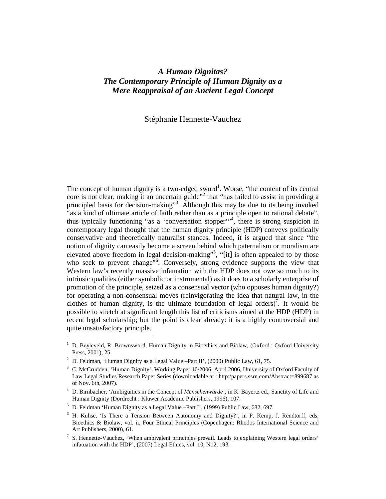# *A Human Dignitas? The Contemporary Principle of Human Dignity as a Mere Reappraisal of an Ancient Legal Concept*

# Stéphanie Hennette-Vauchez

The concept of human dignity is a two-edged sword<sup>1</sup>. Worse, "the content of its central core is not clear, making it an uncertain guide"<sup>2</sup> that "has failed to assist in providing a principled basis for decision-making"<sup>3</sup>. Although this may be due to its being invoked "as a kind of ultimate article of faith rather than as a principle open to rational debate", thus typically functioning "as a 'conversation stopper'<sup>"4</sup>, there is strong suspicion in contemporary legal thought that the human dignity principle (HDP) conveys politically conservative and theoretically naturalist stances. Indeed, it is argued that since "the notion of dignity can easily become a screen behind which paternalism or moralism are elevated above freedom in legal decision-making"<sup>5</sup>, "[it] is often appealed to by those who seek to prevent change<sup>76</sup>. Conversely, strong evidence supports the view that Western law's recently massive infatuation with the HDP does not owe so much to its intrinsic qualities (either symbolic or instrumental) as it does to a scholarly enterprise of promotion of the principle, seized as a consensual vector (who opposes human dignity?) for operating a non-consensual moves (reinvigorating the idea that natural law, in the clothes of human dignity, is the ultimate foundation of legal orders)<sup>7</sup>. It would be possible to stretch at significant length this list of criticisms aimed at the HDP (HDP) in recent legal scholarship; but the point is clear already: it is a highly controversial and quite unsatisfactory principle.

<sup>&</sup>lt;sup>1</sup> D. Beyleveld, R. Brownsword, Human Dignity in Bioethics and Biolaw, (Oxford : Oxford University Press, 2001), 25.

<sup>&</sup>lt;sup>2</sup> D. Feldman, 'Human Dignity as a Legal Value –Part II', (2000) Public Law, 61, 75.

<sup>&</sup>lt;sup>3</sup> C. McCrudden, 'Human Dignity', Working Paper 10/2006, April 2006, University of Oxford Faculty of Law Legal Studies Research Paper Series (downloadable at : http:/papers.ssrn.com/Abstract=899687 as of Nov. 6th, 2007).

<sup>4</sup> D. Birnbacher, 'Ambiguities in the Concept of *Menschenwürde*', in K. Bayertz ed., Sanctity of Life and Human Dignity (Dordrecht : Kluwer Academic Publishers, 1996), 107.

<sup>&</sup>lt;sup>5</sup> D. Feldman 'Human Dignity as a Legal Value –Part I', (1999) Public Law, 682, 697.

<sup>&</sup>lt;sup>6</sup> H. Kuhse, 'Is There a Tension Between Autonomy and Dignity?', in P. Kemp, J. Rendtorff, eds, Bioethics & Biolaw, vol. ii, Four Ethical Principles (Copenhagen: Rhodos International Science and Art Publishers, 2000), 61.

<sup>7</sup> S. Hennette-Vauchez, 'When ambivalent principles prevail. Leads to explaining Western legal orders' infatuation with the HDP', (2007) Legal Ethics, vol. 10, No2, 193.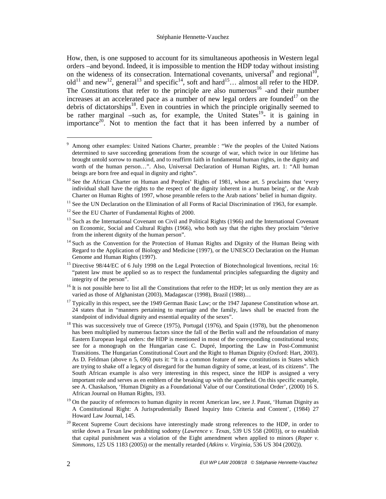How, then, is one supposed to account for its simultaneous apotheosis in Western legal orders –and beyond. Indeed, it is impossible to mention the HDP today without insisting on the wideness of its consecration. International covenants, universal<sup>9</sup> and regional<sup>10</sup>, old<sup>11</sup> and new<sup>12</sup>, general<sup>13</sup> and specific<sup>14</sup>, soft and hard<sup>15</sup>… almost all refer to the HDP. The Constitutions that refer to the principle are also numerous<sup>16</sup> -and their number increases at an accelerated pace as a number of new legal orders are founded<sup>17</sup> on the debris of dictatorships<sup>18</sup>. Even in countries in which the principle originally seemed to be rather marginal –such as, for example, the United States<sup>19</sup>- it is gaining in importance<sup>20</sup>. Not to mention the fact that it has been inferred by a number of

<sup>9</sup> Among other examples: United Nations Charter, preamble : "We the peoples of the United Nations determined to save succeeding generations from the scourge of war, which twice in our lifetime has brought untold sorrow to mankind, and to reaffirm faith in fundamental human rights, in the dignity and worth of the human person…". Also, Universal Declaration of Human Rights, art. 1: "All human beings are born free and equal in dignity and rights".

<sup>&</sup>lt;sup>10</sup> See the African Charter on Human and Peoples' Rights of 1981, whose art. 5 proclaims that 'every individual shall have the rights to the respect of the dignity inherent in a human being', or the Arab Charter on Human Rights of 1997, whose preamble refers to the Arab nations' belief in human dignity.

 $11$  See the UN Declaration on the Elimination of all Forms of Racial Discrimination of 1963, for example.

<sup>&</sup>lt;sup>12</sup> See the EU Charter of Fundamental Rights of 2000.

 $13$  Such as the International Covenant on Civil and Political Rights (1966) and the International Covenant on Economic, Social and Cultural Rights (1966), who both say that the rights they proclaim "derive from the inherent dignity of the human person".

<sup>&</sup>lt;sup>14</sup> Such as the Convention for the Protection of Human Rights and Dignity of the Human Being with Regard to the Application of Biology and Medicine (1997), or the UNESCO Declaration on the Human Genome and Human Rights (1997).

<sup>&</sup>lt;sup>15</sup> Directive 98/44/EC of 6 July 1998 on the Legal Protection of Biotechnological Inventions, recital 16: "patent law must be applied so as to respect the fundamental principles safeguarding the dignity and integrity of the person".

 $16$  It is not possible here to list all the Constitutions that refer to the HDP; let us only mention they are as varied as those of Afghanistan (2003), Madagascar (1998), Brazil (1988)…

<sup>&</sup>lt;sup>17</sup> Typically in this respect, see the 1949 German Basic Law; or the 1947 Japanese Constitution whose art. 24 states that in "manners pertaining to marriage and the family, laws shall be enacted from the standpoint of individual dignity and essential equality of the sexes".

<sup>&</sup>lt;sup>18</sup> This was successively true of Greece (1975), Portugal (1976), and Spain (1978), but the phenomenon has been multiplied by numerous factors since the fall of the Berlin wall and the refoundation of many Eastern European legal orders: the HDP is mentioned in most of the corresponding constitutional texts; see for a monograph on the Hungarian case C. Dupré, Importing the Law in Post-Communist Transitions. The Hungarian Constitutional Court and the Right to Human Dignity (Oxford: Hart, 2003). As D. Feldman (above n 5, 696) puts it: "It is a common feature of new constitutions in States which are trying to shake off a legacy of disregard for the human dignity of some, at least, of its citizens". The South African example is also very interesting in this respect, since the HDP is assigned a very important role and serves as en emblem of the breaking up with the apartheid. On this specific example, see A. Chaskalson, 'Human Dignity as a Foundational Value of our Constitutional Order', (2000) 16 S. African Journal on Human Rights, 193.

<sup>&</sup>lt;sup>19</sup> On the paucity of references to human dignity in recent American law, see J. Paust, 'Human Dignity as A Constitutional Right: A Jurisprudentially Based Inquiry Into Criteria and Content', (1984) 27 Howard Law Journal, 145.

 $20$  Recent Supreme Court decisions have interestingly made strong references to the HDP, in order to strike down a Texan law prohibiting sodomy (*Lawrence v. Texas,* 539 US 558 (2003)), or to establish that capital punishment was a violation of the Eight amendment when applied to minors (*Roper v. Simmons,* 125 US 1183 (2005)) or the mentally retarded (*Atkins v. Virginia,* 536 US 304 (2002)).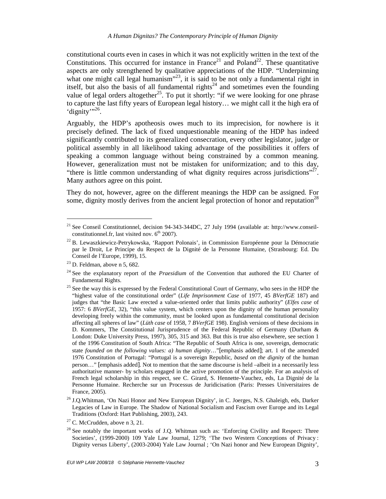constitutional courts even in cases in which it was not explicitly written in the text of the Constitutions. This occurred for instance in France<sup>21</sup> and Poland<sup>22</sup>. These quantitative aspects are only strengthened by qualitative appreciations of the HDP. "Underpinning what one might call legal humanism"<sup>23</sup>, it is said to be not only a fundamental right in itself, but also the basis of all fundamental rights<sup>24</sup> and sometimes even the founding value of legal orders altogether<sup>25</sup>. To put it shortly: "if we were looking for one phrase to capture the last fifty years of European legal history… we might call it the high era of 'dignity'"<sup>26</sup>.

Arguably, the HDP's apotheosis owes much to its imprecision, for nowhere is it precisely defined. The lack of fixed unquestionable meaning of the HDP has indeed significantly contributed to its generalized consecration, every other legislator, judge or political assembly in all likelihood taking advantage of the possibilities it offers of speaking a common language without being constrained by a common meaning. However, generalization must not be mistaken for uniformization; and to this day, "there is little common understanding of what dignity requires across jurisdictions"<sup>27</sup>. Many authors agree on this point.

They do not, however, agree on the different meanings the HDP can be assigned. For some, dignity mostly derives from the ancient legal protection of honor and reputation<sup>28</sup>

<sup>&</sup>lt;sup>21</sup> See Conseil Constitutionnel, decision 94-343-344DC, 27 July 1994 (available at: http://www.conseilconstitutionnel.fr, last visited nov.  $6<sup>th</sup> 2007$ ).

 $^{22}$  B. Lewaszkiewicz-Petrykowska, 'Rapport Polonais', in Commission Européenne pour la Démocratie par le Droit, Le Principe du Respect de la Dignité de la Personne Humaine, (Strasbourg: Ed. Du Conseil de l'Europe, 1999), 15.

 $23$  D. Feldman, above n 5, 682.

<sup>&</sup>lt;sup>24</sup> See the explanatory report of the *Praesidium* of the Convention that authored the EU Charter of Fundamental Rights.

<sup>&</sup>lt;sup>25</sup> See the way this is expressed by the Federal Constitutional Court of Germany, who sees in the HDP the "highest value of the constitutional order" (*Life Imprisonment Case* of 1977, 45 *BVerfGE* 187) and judges that "the Basic Law erected a value-oriented order that limits public authority" (*Elfes case* of 1957: 6 *BVerfGE*, 32), "this value system, which centers upon the dignity of the human personality developing freely within the community, must be looked upon as fundamental constitutional decision affecting all spheres of law" (*Lüth case* of 1958, 7 *BVerfGE* 198). English versions of these decisions in D. Kommers, The Constitutional Jurisprudence of the Federal Republic of Germany (Durham & London: Duke University Press, 1997), 305, 315 and 363. But this is true also elsewhere, see section 1 of the 1996 Constitution of South Africa: "The Republic of South Africa is one, sovereign, democratic state *founded on the following values: a) human dignity*…"[emphasis added]; art. 1 of the amended 1976 Constitution of Portugal: "Portugal is a sovereign Republic, *based on the dignity* of the human person…" [emphasis added]. Not to mention that the same discourse is held –albeit in a necessarily less authoritative manner- by scholars engaged in the active promotion of the principle. For an analysis of French legal scholarship in this respect, see C. Girard, S. Hennette-Vauchez, eds, La Dignité de la Personne Humaine. Recherche sur un Processus de Juridicisation (Paris: Presses Universitaires de France, 2005).

<sup>&</sup>lt;sup>26</sup> J.O.Whitman, 'On Nazi Honor and New European Dignity', in C. Joerges, N.S. Ghaleigh, eds, Darker Legacies of Law in Europe. The Shadow of National Socialism and Fascism over Europe and its Legal Traditions (Oxford: Hart Publishing, 2003), 243.

 $27$  C. McCrudden, above n 3, 21.

 $28$  See notably the important works of J.Q. Whitman such as: 'Enforcing Civility and Respect: Three Societies', (1999-2000) 109 Yale Law Journal, 1279; 'The two Western Conceptions of Privacy : Dignity versus Liberty', (2003-2004) Yale Law Journal ; 'On Nazi honor and New European Dignity',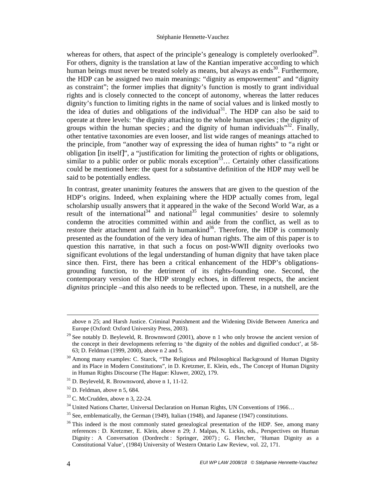whereas for others, that aspect of the principle's genealogy is completely overlooked $^{29}$ . For others, dignity is the translation at law of the Kantian imperative according to which human beings must never be treated solely as means, but always as ends<sup>30</sup>. Furthermore, the HDP can be assigned two main meanings: "dignity as empowerment" and "dignity as constraint"; the former implies that dignity's function is mostly to grant individual rights and is closely connected to the concept of autonomy, whereas the latter reduces dignity's function to limiting rights in the name of social values and is linked mostly to the idea of duties and obligations of the individual<sup>31</sup>. The HDP can also be said to operate at three levels: "the dignity attaching to the whole human species ; the dignity of groups within the human species; and the dignity of human individuals<sup> $32$ </sup>. Finally, other tentative taxonomies are even looser, and list wide ranges of meanings attached to the principle, from "another way of expressing the idea of human rights" to "a right or obligation [in itself]", a "justification for limiting the protection of rights or obligations, similar to a public order or public morals exception<sup>33</sup> $\ldots$  Certainly other classifications could be mentioned here: the quest for a substantive definition of the HDP may well be said to be potentially endless.

In contrast, greater unanimity features the answers that are given to the question of the HDP's origins. Indeed, when explaining where the HDP actually comes from, legal scholarship usually answers that it appeared in the wake of the Second World War, as a result of the international<sup>34</sup> and national<sup>35</sup> legal communities' desire to solemnly condemn the atrocities committed within and aside from the conflict, as well as to restore their attachment and faith in humankind<sup>36</sup>. Therefore, the HDP is commonly presented as the foundation of the very idea of human rights. The aim of this paper is to question this narrative, in that such a focus on post-WWII dignity overlooks two significant evolutions of the legal understanding of human dignity that have taken place since then. First, there has been a critical enhancement of the HDP's obligationsgrounding function, to the detriment of its rights-founding one. Second, the contemporary version of the HDP strongly echoes, in different respects, the ancient *dignitas* principle –and this also needs to be reflected upon. These, in a nutshell, are the

 $\ddot{\phantom{a}}$ 

above n 25; and Harsh Justice. Criminal Punishment and the Widening Divide Between America and Europe (Oxford: Oxford University Press, 2003).

<sup>&</sup>lt;sup>29</sup> See notably D. Beyleveld, R. Brownsword (2001), above n 1 who only browse the ancient version of the concept in their developments referring to 'the dignity of the nobles and dignified conduct', at 58- 63; D. Feldman (1999, 2000), above n 2 and 5.

 $30$  Among many examples: C. Starck, "The Religious and Philosophical Background of Human Dignity and its Place in Modern Constitutions", in D. Kretzmer, E. Klein, eds., The Concept of Human Dignity in Human Rights Discourse (The Hague: Kluwer, 2002), 179.

 $31$  D. Beyleveld, R. Brownsword, above n 1, 11-12.

 $32$  D. Feldman, above n 5, 684.

<sup>33</sup> C. McCrudden, above n 3, 22-24.

<sup>&</sup>lt;sup>34</sup> United Nations Charter, Universal Declaration on Human Rights, UN Conventions of 1966...

 $35$  See, emblematically, the German (1949), Italian (1948), and Japanese (1947) constitutions.

<sup>&</sup>lt;sup>36</sup> This indeed is the most commonly stated genealogical presentation of the HDP. See, among many references : D. Kretzmer, E. Klein, above n 29; J. Malpas, N. Lickis, eds., Perspectives on Human Dignity : A Conversation (Dordrecht : Springer, 2007) ; G. Fletcher, 'Human Dignity as a Constitutional Value', (1984) University of Western Ontario Law Review, vol. 22, 171.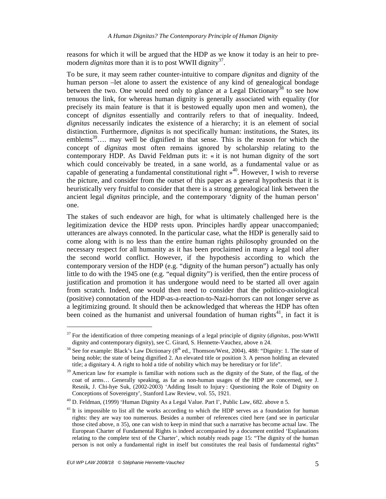reasons for which it will be argued that the HDP as we know it today is an heir to premodern *dignitas* more than it is to post WWII dignity<sup>37</sup>.

To be sure, it may seem rather counter-intuitive to compare *dignitas* and dignity of the human person –let alone to assert the existence of any kind of genealogical bondage between the two. One would need only to glance at a Legal Dictionary<sup>38</sup> to see how tenuous the link, for whereas human dignity is generally associated with equality (for precisely its main feature is that it is bestowed equally upon men and women), the concept of *dignitas* essentially and contrarily refers to that of inequality. Indeed, *dignitas* necessarily indicates the existence of a hierarchy; it is an element of social distinction. Furthermore, *dignitas* is not specifically human: institutions, the States, its emblems<sup>39</sup>.... may well be dignified in that sense. This is the reason for which the concept of *dignitas* most often remains ignored by scholarship relating to the contemporary HDP. As David Feldman puts it: « it is not human dignity of the sort which could conceivably be treated, in a sane world, as a fundamental value or as capable of generating a fundamental constitutional right  $\frac{1}{2}$ . However, I wish to reverse the picture, and consider from the outset of this paper as a general hypothesis that it is heuristically very fruitful to consider that there is a strong genealogical link between the ancient legal *dignitas* principle, and the contemporary 'dignity of the human person' one.

The stakes of such endeavor are high, for what is ultimately challenged here is the legitimization device the HDP rests upon. Principles hardly appear unaccompanied; utterances are always connoted. In the particular case, what the HDP is generally said to come along with is no less than the entire human rights philosophy grounded on the necessary respect for all humanity as it has been proclaimed in many a legal tool after the second world conflict. However, if the hypothesis according to which the contemporary version of the HDP (e.g. "dignity of the human person") actually has only little to do with the 1945 one (e.g. "equal dignity") is verified, then the entire process of justification and promotion it has undergone would need to be started all over again from scratch. Indeed, one would then need to consider that the politico-axiological (positive) connotation of the HDP-as-a-reaction-to-Nazi-horrors can not longer serve as a legitimizing ground. It should then be acknowledged that whereas the HDP has often been coined as the humanist and universal foundation of human rights<sup>41</sup>, in fact it is

<sup>37</sup> For the identification of three competing meanings of a legal principle of dignity (*dignitas*, post-WWII dignity and contemporary dignity), see C. Girard, S. Hennette-Vauchez, above n 24.

 $38$  See for example: Black's Law Dictionary ( $8<sup>th</sup>$  ed., Thomson/West, 2004), 488: "Dignity: 1. The state of being noble; the state of being dignified 2. An elevated title or position 3. A person holding an elevated title; a dignitary 4. A right to hold a title of nobility which may be hereditary or for life".

<sup>&</sup>lt;sup>39</sup> American law for example is familiar with notions such as the dignity of the State, of the flag, of the coat of arms… Generally speaking, as far as non-human usages of the HDP are concerned, see J. Resnik, J. Chi-hye Suk, (2002-2003) 'Adding Insult to Injury : Questioning the Role of Dignity on Conceptions of Sovereignty', Stanford Law Review, vol. 55, 1921.

<sup>40</sup> D. Feldman, (1999) 'Human Dignity As a Legal Value. Part I', Public Law, 682. above n 5.

 $<sup>41</sup>$  It is impossible to list all the works according to which the HDP serves as a foundation for human</sup> rights: they are way too numerous. Besides a number of references cited here (and see in particular those cited above, n 35), one can wish to keep in mind that such a narrative has become actual law. The European Charter of Fundamental Rights is indeed accompanied by a document entitled 'Explanations relating to the complete text of the Charter', which notably reads page 15: "The dignity of the human person is not only a fundamental right in itself but constitutes the real basis of fundamental rights"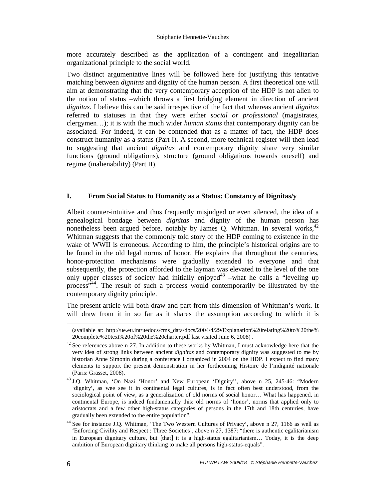#### Stéphanie Hennette-Vauchez

more accurately described as the application of a contingent and inegalitarian organizational principle to the social world.

Two distinct argumentative lines will be followed here for justifying this tentative matching between *dignitas* and dignity of the human person. A first theoretical one will aim at demonstrating that the very contemporary acception of the HDP is not alien to the notion of status –which throws a first bridging element in direction of ancient *dignitas.* I believe this can be said irrespective of the fact that whereas ancient *dignitas* referred to statuses in that they were either *social or professional* (magistrates, clergymen…); it is with the much wider *human status* that contemporary dignity can be associated. For indeed, it can be contended that as a matter of fact, the HDP does construct humanity as a status (Part I). A second, more technical register will then lead to suggesting that ancient *dignitas* and contemporary dignity share very similar functions (ground obligations), structure (ground obligations towards oneself) and regime (inalienability) (Part II).

## **I. From Social Status to Humanity as a Status: Constancy of Dignitas/y**

Albeit counter-intuitive and thus frequently misjudged or even silenced, the idea of a genealogical bondage between *dignitas* and dignity of the human person has nonetheless been argued before, notably by James Q. Whitman. In several works,  $42$ Whitman suggests that the commonly told story of the HDP coming to existence in the wake of WWII is erroneous. According to him, the principle's historical origins are to be found in the old legal norms of honor. He explains that throughout the centuries, honor-protection mechanisms were gradually extended to everyone and that subsequently, the protection afforded to the layman was elevated to the level of the one only upper classes of society had initially enjoyed<sup>43</sup> –what he calls a "leveling up process<sup>744</sup>. The result of such a process would contemporarily be illustrated by the contemporary dignity principle.

The present article will both draw and part from this dimension of Whitman's work. It will draw from it in so far as it shares the assumption according to which it is

 $\overline{a}$ 

<sup>(</sup>available at: http://ue.eu.int/uedocs/cms\_data/docs/2004/4/29/Explanation%20relating%20to%20the% 20complete%20text%20of%20the%20charter.pdf last visited June 6, 2008) .

 $42$  See references above n 27. In addition to these works by Whitman, I must acknowledge here that the very idea of strong links between ancient *dignitas* and contemporary dignity was suggested to me by historian Anne Simonin during a conference I organized in 2004 on the HDP. I expect to find many elements to support the present demonstration in her forthcoming Histoire de l'indignité nationale (Paris: Grasset, 2008).

<sup>43</sup> J.Q. Whitman, 'On Nazi 'Honor' and New European 'Dignity'', above n 25, 245-46: "Modern 'dignity', as wee see it in continental legal cultures, is in fact often best understood, from the sociological point of view, as a generalization of old norms of social honor... What has happened, in continental Europe, is indeed fundamentally this: old norms of 'honor', norms that applied only to aristocrats and a few other high-status categories of persons in the 17th and 18th centuries, have gradually been extended to the entire population".

<sup>44</sup> See for instance J.Q. Whitman, 'The Two Western Cultures of Privacy', above n 27, 1166 as well as 'Enforcing Civility and Respect : Three Societies', above n 27, 1387: "there is authentic egalitarianism in European dignitary culture, but [that] it is a high-status egalitarianism... Today, it is the deep ambition of European dignitary thinking to make all persons high-status-equals".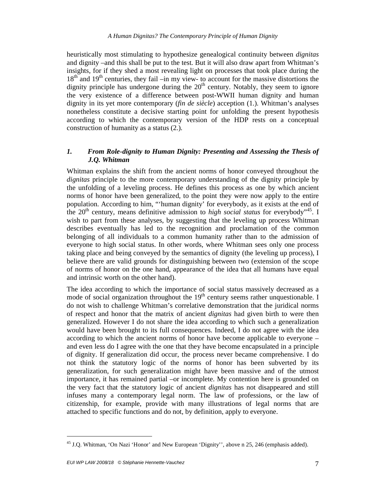heuristically most stimulating to hypothesize genealogical continuity between *dignitas* and dignity –and this shall be put to the test. But it will also draw apart from Whitman's insights, for if they shed a most revealing light on processes that took place during the  $18<sup>th</sup>$  and  $19<sup>th</sup>$  centuries, they fail –in my view- to account for the massive distortions the dignity principle has undergone during the  $20<sup>th</sup>$  century. Notably, they seem to ignore the very existence of a difference between post-WWII human dignity and human dignity in its yet more contemporary (*fin de siècle*) acception (1.). Whitman's analyses nonetheless constitute a decisive starting point for unfolding the present hypothesis according to which the contemporary version of the HDP rests on a conceptual construction of humanity as a status (2.).

#### *1. From Role-dignity to Human Dignity: Presenting and Assessing the Thesis of J.Q. Whitman*

Whitman explains the shift from the ancient norms of honor conveyed throughout the *dignitas* principle to the more contemporary understanding of the dignity principle by the unfolding of a leveling process. He defines this process as one by which ancient norms of honor have been generalized, to the point they were now apply to the entire population. According to him, "'human dignity' for everybody, as it exists at the end of the  $20<sup>th</sup>$  century, means definitive admission to *high social status* for everybody<sup> $,45$ </sup>. I wish to part from these analyses, by suggesting that the leveling up process Whitman describes eventually has led to the recognition and proclamation of the common belonging of all individuals to a common humanity rather than to the admission of everyone to high social status. In other words, where Whitman sees only one process taking place and being conveyed by the semantics of dignity (the leveling up process), I believe there are valid grounds for distinguishing between two (extension of the scope of norms of honor on the one hand, appearance of the idea that all humans have equal and intrinsic worth on the other hand).

The idea according to which the importance of social status massively decreased as a mode of social organization throughout the  $19<sup>th</sup>$  century seems rather unquestionable. I do not wish to challenge Whitman's correlative demonstration that the juridical norms of respect and honor that the matrix of ancient *dignitas* had given birth to were then generalized. However I do not share the idea according to which such a generalization would have been brought to its full consequences. Indeed, I do not agree with the idea according to which the ancient norms of honor have become applicable to everyone – and even less do I agree with the one that they have become encapsulated in a principle of dignity. If generalization did occur, the process never became comprehensive. I do not think the statutory logic of the norms of honor has been subverted by its generalization, for such generalization might have been massive and of the utmost importance, it has remained partial –or incomplete. My contention here is grounded on the very fact that the statutory logic of ancient *dignitas* has not disappeared and still infuses many a contemporary legal norm. The law of professions, or the law of citizenship, for example, provide with many illustrations of legal norms that are attached to specific functions and do not, by definition, apply to everyone.

<sup>&</sup>lt;sup>45</sup> J.O. Whitman, 'On Nazi 'Honor' and New European 'Dignity'', above n 25, 246 (emphasis added).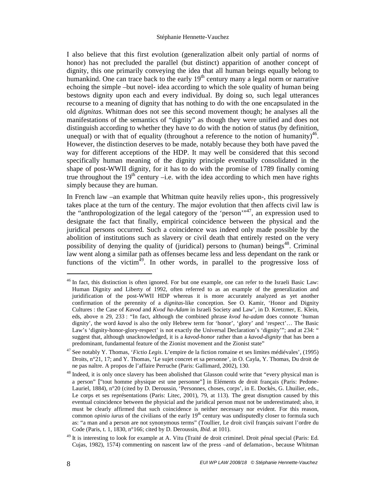I also believe that this first evolution (generalization albeit only partial of norms of honor) has not precluded the parallel (but distinct) apparition of another concept of dignity, this one primarily conveying the idea that all human beings equally belong to humankind. One can trace back to the early  $19<sup>th</sup>$  century many a legal norm or narrative echoing the simple –but novel- idea according to which the sole quality of human being bestows dignity upon each and every individual. By doing so, such legal utterances recourse to a meaning of dignity that has nothing to do with the one encapsulated in the old *dignitas*. Whitman does not see this second movement though; he analyses all the manifestations of the semantics of "dignity" as though they were unified and does not distinguish according to whether they have to do with the notion of status (by definition, unequal) or with that of equality (throughout a reference to the notion of humanity) $46$ . However, the distinction deserves to be made, notably because they both have paved the way for different acceptions of the HDP. It may well be considered that this second specifically human meaning of the dignity principle eventually consolidated in the shape of post-WWII dignity, for it has to do with the promise of 1789 finally coming true throughout the  $19<sup>th</sup>$  century –i.e. with the idea according to which men have rights simply because they are human.

In French law –an example that Whitman quite heavily relies upon-, this progressively takes place at the turn of the century. The major evolution that then affects civil law is the "anthropologization of the legal category of the 'person'"<sup>47</sup>, an expression used to designate the fact that finally, empirical coincidence between the physical and the juridical persons occurred. Such a coincidence was indeed only made possible by the abolition of institutions such as slavery or civil death that entirely rested on the very possibility of denying the quality of (juridical) persons to (human) beings<sup>48</sup>. Criminal law went along a similar path as offenses became less and less dependant on the rank or functions of the victim $49$ . In other words, in parallel to the progressive loss of

<sup>&</sup>lt;sup>46</sup> In fact, this distinction is often ignored. For but one example, one can refer to the Israeli Basic Law: Human Dignity and Liberty of 1992, often referred to as an example of the generalization and juridification of the post-WWII HDP whereas it is more accurately analyzed as yet another confirmation of the perennity of a *dignitas*-like conception. See O. Kamir, 'Honor and Dignity Cultures : the Case of *Kavod* and *Kvod ha-Adam* in Israeli Society and Law', in D. Kretzmer, E. Klein, eds, above n 29, 233 : "In fact, although the combined phrase *kvod ha-adam* does connote 'human dignity', the word *kavod* is also the only Hebrew term for 'honor', 'glory' and 'respect'… The Basic Law's 'dignity-honor-glory-respect' is not exactly the Universal Declaration's 'dignity'"; and at 234: " suggest that, although unacknowledged, it is a *kavod-honor* rather than a *kavod-dignity* that has been a predominant, fundamental feature of the Zionist movement and the Zionist state"

<sup>47</sup> See notably Y. Thomas, '*Fictio Legis*. L'empire de la fiction romaine et ses limites médiévales', (1995) Droits, n°21, 17; and Y. Thomas, 'Le sujet concret et sa personne', in O. Cayla, Y. Thomas, Du droit de ne pas naître. A propos de l'affaire Perruche (Paris: Gallimard, 2002), 130.

<sup>&</sup>lt;sup>48</sup> Indeed, it is only once slavery has been abolished that Glasson could write that "every physical man is a person" ["tout homme physique est une personne"] in Eléments de droit français (Paris: Pedone-Lauriel, 1884), n°20 (cited by D. Deroussin, 'Personnes, choses, corps', in E. Dockès, G. Lhuilier, eds., Le corps et ses représentations (Paris: Litec, 2001), 79, at 113). The great disruption caused by this eventual coincidence between the physicial and the juridical person must not be underestimated; also, it must be clearly affirmed that such coincidence is neither necessary nor evident. For this reason, common *opinio iurus* of the civilians of the early 19<sup>th</sup> century was undisputedly closer to formula such as: "a man and a person are not synonymous terms" (Toullier, Le droit civil français suivant l'ordre du Code (Paris, t. 1, 1830, n°166; cited by D. Deroussin, *Ibid.* at 101).

<sup>&</sup>lt;sup>49</sup> It is interesting to look for example at A. Vitu (Traité de droit criminel. Droit pénal special (Paris: Ed. Cujas, 1982), 1574) commenting on nascent law of the press –and of defamation-, because Whitman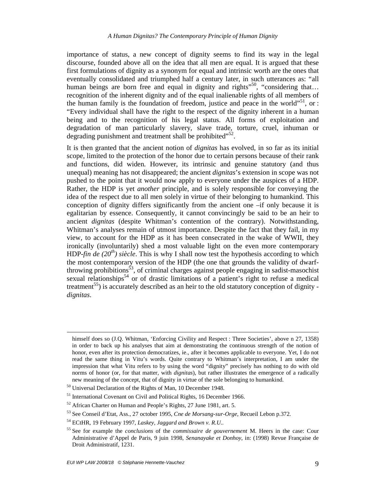importance of status, a new concept of dignity seems to find its way in the legal discourse, founded above all on the idea that all men are equal. It is argued that these first formulations of dignity as a synonym for equal and intrinsic worth are the ones that eventually consolidated and triumphed half a century later, in such utterances as: "all human beings are born free and equal in dignity and rights<sup> $50$ </sup>, "considering that... recognition of the inherent dignity and of the equal inalienable rights of all members of the human family is the foundation of freedom, justice and peace in the world<sup>"51</sup>, or : "Every individual shall have the right to the respect of the dignity inherent in a human being and to the recognition of his legal status. All forms of exploitation and degradation of man particularly slavery, slave trade, torture, cruel, inhuman or degrading punishment and treatment shall be prohibited" $52$ .

It is then granted that the ancient notion of *dignitas* has evolved, in so far as its initial scope, limited to the protection of the honor due to certain persons because of their rank and functions, did widen. However, its intrinsic and genuine statutory (and thus unequal) meaning has not disappeared; the ancient *dignitas*'s extension in scope was not pushed to the point that it would now apply to everyone under the auspices of a HDP. Rather, the HDP is yet *another* principle, and is solely responsible for conveying the idea of the respect due to all men solely in virtue of their belonging to humankind. This conception of dignity differs significantly from the ancient one –if only because it is egalitarian by essence. Consequently, it cannot convincingly be said to be an heir to ancient *dignitas* (despite Whitman's contention of the contrary). Notwithstanding, Whitman's analyses remain of utmost importance. Despite the fact that they fail, in my view, to account for the HDP as it has been consecrated in the wake of WWII, they ironically (involuntarily) shed a most valuable light on the even more contemporary HDP-*fin de (20th) siècle*. This is why I shall now test the hypothesis according to which the most contemporary version of the HDP (the one that grounds the validity of dwarfthrowing prohibitions<sup>53</sup>, of criminal charges against people engaging in sadist-masochist sexual relationships<sup>54</sup> or of drastic limitations of a patient's right to refuse a medical treatment<sup>55</sup>) is accurately described as an heir to the old statutory conception of dignity *dignitas*.

 $\overline{a}$ 

himself does so (J.Q. Whitman, 'Enforcing Civility and Respect : Three Societies', above n 27, 1358) in order to back up his analyses that aim at demonstrating the continuous strength of the notion of honor, even after its protection democratizes, ie., after it becomes applicable to everyone. Yet, I do not read the same thing in Vitu's words. Quite contrary to Whitman's interpretation, I am under the impression that what Vitu refers to by using the word "dignity" precisely has nothing to do with old norms of honor (or, for that matter, with *dignitas*), but rather illustrates the emergence of a radically new meaning of the concept, that of dignity in virtue of the sole belonging to humankind.

<sup>50</sup> Universal Declaration of the Rights of Man, 10 December 1948.

<sup>&</sup>lt;sup>51</sup> International Covenant on Civil and Political Rights, 16 December 1966.

<sup>52</sup> African Charter on Human and People's Rights, 27 June 1981, art. 5.

<sup>53</sup> See Conseil d'Etat, Ass., 27 october 1995, *Cne de Morsang-sur-Orge*, Recueil Lebon p.372.

<sup>54</sup> ECtHR, 19 February 1997, *Laskey, Jaggard and Brown v. R.U..*

<sup>55</sup> See for example the *conclusions* of the *commissaire de gouvernement* M. Heers in the case: Cour Administrative d'Appel de Paris, 9 juin 1998, *Senanayake et Donhoy*, in: (1998) Revue Française de Droit Administratif, 1231.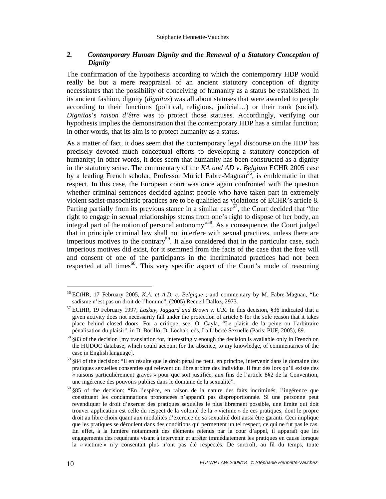# *2. Contemporary Human Dignity and the Renewal of a Statutory Conception of Dignity*

The confirmation of the hypothesis according to which the contemporary HDP would really be but a mere reappraisal of an ancient statutory conception of dignity necessitates that the possibility of conceiving of humanity as a status be established. In its ancient fashion, dignity (*dignitas*) was all about statuses that were awarded to people according to their functions (political, religious, judicial…) or their rank (social). *Dignitas*'s *raison d'être* was to protect those statuses. Accordingly, verifying our hypothesis implies the demonstration that the contemporary HDP has a similar function; in other words, that its aim is to protect humanity as a status.

As a matter of fact, it does seem that the contemporary legal discourse on the HDP has precisely devoted much conceptual efforts to developing a statutory conception of humanity; in other words, it does seem that humanity has been constructed as a dignity in the statutory sense. The commentary of the *KA and AD v. Belgium* ECHR 2005 case by a leading French scholar, Professor Muriel Fabre-Magnan<sup>56</sup>, is emblematic in that respect. In this case, the European court was once again confronted with the question whether criminal sentences decided against people who have taken part in extremely violent sadist-masochistic practices are to be qualified as violations of ECHR's article 8. Parting partially from its previous stance in a similar case<sup>57</sup>, the Court decided that "the right to engage in sexual relationships stems from one's right to dispose of her body, an integral part of the notion of personal autonomy"<sup>58</sup>. As a consequence, the Court judged that in principle criminal law shall not interfere with sexual practices, unless there are imperious motives to the contrary<sup>59</sup>. It also considered that in the particular case, such imperious motives did exist, for it stemmed from the facts of the case that the free will and consent of one of the participants in the incriminated practices had not been respected at all times<sup>60</sup>. This very specific aspect of the Court's mode of reasoning

<sup>56</sup> ECtHR, 17 February 2005, *K.A. et A.D. c. Belgique* ; and commentary by M. Fabre-Magnan, "Le sadisme n'est pas un droit de l'homme", (2005) Recueil Dalloz, 2973.

<sup>57</sup> ECtHR, 19 February 1997, *Laskey, Jaggard and Brown v. U.K.* In this decision, §36 indicated that a given activity does not necessarily fall under the protection of article 8 for the sole reason that it takes place behind closed doors. For a critique, see: O. Cayla, "Le plaisir de la peine ou l'arbitraire pénalisation du plaisir", in D. Borillo, D. Lochak, eds, La Liberté Sexuelle (Paris: PUF, 2005), 89.

<sup>58</sup> §83 of the decision [my translation for, interestingly enough the decision is available only in French on the HUDOC database, which could account for the absence, to my knowledge, of commentaries of the case in English language].

<sup>59</sup> §84 of the decision: "Il en résulte que le droit pénal ne peut, en principe, intervenir dans le domaine des pratiques sexuelles consenties qui relèvent du libre arbitre des individus. Il faut dès lors qu'il existe des « raisons particulièrement graves » pour que soit justifiée, aux fins de l'article 8§2 de la Convention, une ingérence des pouvoirs publics dans le domaine de la sexualité".

<sup>60</sup> §85 of the decision: "En l'espèce, en raison de la nature des faits incriminés, l'ingérence que constituent les condamnations prononcées n'apparaît pas disproportionnée. Si une personne peut revendiquer le droit d'exercer des pratiques sexuelles le plus librement possible, une limite qui doit trouver application est celle du respect de la volonté de la « victime » de ces pratiques, dont le propre droit au libre choix quant aux modalités d'exercice de sa sexualité doit aussi être garanti. Ceci implique que les pratiques se déroulent dans des conditions qui permettent un tel respect, ce qui ne fut pas le cas. En effet, à la lumière notamment des éléments retenus par la cour d'appel, il apparaît que les engagements des requérants visant à intervenir et arrêter immédiatement les pratiques en cause lorsque la « victime » n'y consentait plus n'ont pas été respectés. De surcroît, au fil du temps, toute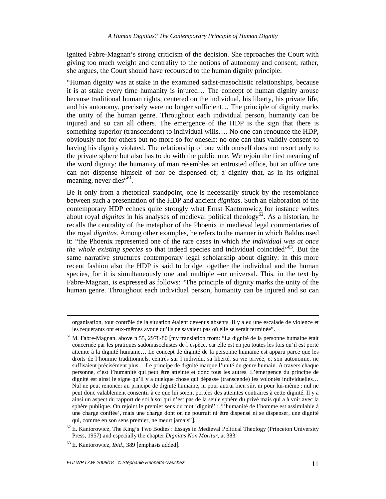ignited Fabre-Magnan's strong criticism of the decision. She reproaches the Court with giving too much weight and centrality to the notions of autonomy and consent; rather, she argues, the Court should have recoursed to the human dignity principle:

"Human dignity was at stake in the examined sadist-masochistic relationships, because it is at stake every time humanity is injured… The concept of human dignity arouse because traditional human rights, centered on the individual, his liberty, his private life, and his autonomy, precisely were no longer sufficient… The principle of dignity marks the unity of the human genre. Throughout each individual person, humanity can be injured and so can all others. The emergence of the HDP is the sign that there is something superior (transcendent) to individual wills…. No one can renounce the HDP, obviously not for others but no more so for oneself: no one can thus validly consent to having his dignity violated. The relationship of one with oneself does not resort only to the private sphere but also has to do with the public one. We rejoin the first meaning of the word dignity: the humanity of man resembles an entrusted office, but an office one can not dispense himself of nor be dispensed of; a dignity that, as in its original meaning, never dies"<sup>61</sup>.

Be it only from a rhetorical standpoint, one is necessarily struck by the resemblance between such a presentation of the HDP and ancient *dignitas*. Such an elaboration of the contemporary HDP echoes quite strongly what Ernst Kantorowicz for instance writes about royal *dignitas* in his analyses of medieval political theology<sup>62</sup>. As a historian, he recalls the centrality of the metaphor of the Phoenix in medieval legal commentaries of the royal *dignitas*. Among other examples, he refers to the manner in which Baldus used it: "the Phoenix represented one of the rare cases in which *the individual was at once the whole existing species* so that indeed species and individual coincided<sup>"63</sup>. But the same narrative structures contemporary legal scholarship about dignity: in this more recent fashion also the HDP is said to bridge together the individual and the human species, for it is simultaneously one and multiple –or universal. This, in the text by Fabre-Magnan, is expressed as follows: "The principle of dignity marks the unity of the human genre. Throughout each individual person, humanity can be injured and so can

 $\ddot{\phantom{a}}$ 

organisation, tout contrôle de la situation étaient devenus absents. Il y a eu une escalade de violence et les requérants ont eux-mêmes avoué qu'ils ne savaient pas où elle se serait terminée".

<sup>61</sup> M. Fabre-Magnan, above n 55, 2978-80 [my translation from: "La dignité de la personne humaine était concernée par les pratiques sadomasochistes de l'espèce, car elle est en jeu toutes les fois qu'il est porté atteinte à la dignité humaine… Le concept de dignité de la personne humaine est apparu parce que les droits de l'homme traditionnels, centrés sur l'individu, sa liberté, sa vie privée, et son autonomie, ne suffisaient précisément plus… Le principe de dignité marque l'unité du genre humain. A travers chaque personne, c'est l'humanité qui peut être atteinte et donc tous les autres. L'émergence du principe de dignité est ainsi le signe qu'il y a quelque chose qui dépasse (transcende) les volontés individuelles… Nul ne peut renoncer au principe de dignité humaine, ni pour autrui bien sûr, ni pour lui-même : nul ne peut donc valablement consentir à ce que lui soient portées des atteintes contraires à cette dignité. Il y a ainsi un aspect du rapport de soi à soi qui n'est pas de la seule sphère du privé mais qui a à voir avec la sphère publique. On rejoint le premier sens du mot 'dignité' : 'l'humanité de l'homme est assimilable à une charge confiée', mais une charge dont on ne pourrait ni être dispensé ni se dispenser, une dignité qui, comme en son sens premier, ne meurt jamais"].

 $62$  E. Kantorowicz, The King's Two Bodies : Essays in Medieval Political Theology (Princeton University Press, 1957) and especially the chapter *Dignitas Non Moritur*, at 383.

<sup>63</sup> E. Kantorowicz, *Ibid.*, 389 [emphasis added].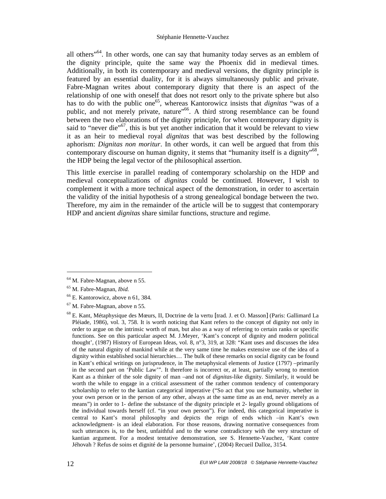all others<sup>564</sup>. In other words, one can say that humanity today serves as an emblem of the dignity principle, quite the same way the Phoenix did in medieval times. Additionally, in both its contemporary and medieval versions, the dignity principle is featured by an essential duality, for it is always simultaneously public and private. Fabre-Magnan writes about contemporary dignity that there is an aspect of the relationship of one with oneself that does not resort only to the private sphere but also has to do with the public one<sup>65</sup>, whereas Kantorowicz insists that *dignitas* "was of a public, and not merely private, nature<sup>566</sup>. A third strong resemblance can be found between the two elaborations of the dignity principle, for when contemporary dignity is said to "never die"<sup>67</sup>, this is but yet another indication that it would be relevant to view it as an heir to medieval royal *dignitas* that was best described by the following aphorism: *Dignitas non moritur*. In other words, it can well be argued that from this contemporary discourse on human dignity, it stems that "humanity itself is a dignity"<sup>68</sup>, the HDP being the legal vector of the philosophical assertion.

This little exercise in parallel reading of contemporary scholarship on the HDP and medieval conceptualizations of *dignitas* could be continued. However, I wish to complement it with a more technical aspect of the demonstration, in order to ascertain the validity of the initial hypothesis of a strong genealogical bondage between the two. Therefore, my aim in the remainder of the article will be to suggest that contemporary HDP and ancient *dignitas* share similar functions, structure and regime.

<sup>64</sup> M. Fabre-Magnan, above n 55.

<sup>65</sup> M. Fabre-Magnan, *Ibid.*

<sup>66</sup> E. Kantorowicz, above n 61, 384.

<sup>67</sup> M. Fabre-Magnan, above n 55*.*

<sup>68</sup> E. Kant, Métaphysique des Mœurs, II, Doctrine de la vertu [trad. J. et O. Masson] (Paris: Gallimard La Pléiade, 1986), vol. 3, 758. It is worth noticing that Kant refers to the concept of dignity not only in order to argue on the intrinsic worth of man, but also as a way of referring to certain ranks or specific functions. See on this particular aspect M. J.Meyer, 'Kant's concept of dignity and modern political thought', (1987) History of European Ideas, vol. 8, n°3, 319, at 328: "Kant uses and discusses the idea of the natural dignity of mankind while at the very same time he makes extensive use of the idea of a dignity within established social hierarchies… The bulk of these remarks on social dignity can be found in Kant's ethical writings on jurisprudence, in The metaphysical elements of Justice (1797) –primarily in the second part on 'Public Law'". It therefore is incorrect or, at least, partially wrong to mention Kant as a thinker of the sole dignity of man –and not of *dignitas*-like dignity. Similarly, it would be worth the while to engage in a critical assessment of the rather common tendency of contemporary scholarship to refer to the kantian categorical imperative ("So act that you use humanity, whether in your own person or in the person of any other, always at the same time as an end, never merely as a means") in order to 1- define the substance of the dignity principle et 2- legally ground obligations of the individual towards herself (cf. "in your own person"). For indeed, this categorical imperative is central to Kant's moral philosophy and depicts the reign of ends which –in Kant's own acknowledgment- is an ideal elaboration. For those reasons, drawing normative consequences from such utterances is, to the best, unfaithful and to the worse contradictory with the very structure of kantian argument. For a modest tentative demonstration, see S. Hennette-Vauchez, 'Kant contre Jéhovah ? Refus de soins et dignité de la personne humaine', (2004) Recueil Dalloz, 3154.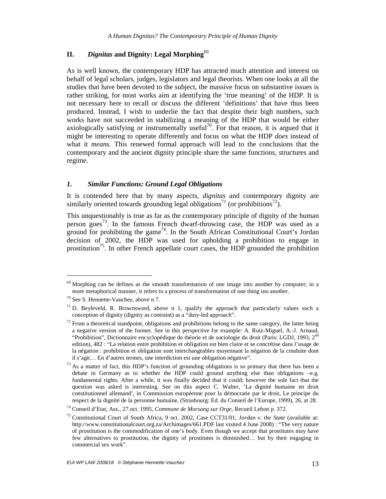# **II.** *Dignitas* **and Dignity: Legal Morphing**<sup>69</sup>

As is well known, the contemporary HDP has attracted much attention and interest on behalf of legal scholars, judges, legislators and legal theorists. When one looks at all the studies that have been devoted to the subject, the massive focus on substantive issues is rather striking, for most works aim at identifying the 'true meaning' of the HDP. It is not necessary here to recall or discuss the different 'definitions' that have thus been produced. Instead, I wish to underlie the fact that despite their high numbers, such works have not succeeded in stabilizing a meaning of the HDP that would be either axiologically satisfying or instrumentally useful<sup>70</sup>. For that reason, it is argued that it might be interesting to operate differently and focus on what the HDP *does* instead of what it *means*. This renewed formal approach will lead to the conclusions that the contemporary and the ancient dignity principle share the same functions, structures and regime.

#### *1. Similar Functions: Ground Legal Obligations*

It is contended here that by many aspects, *dignitas* and contemporary dignity are similarly oriented towards grounding legal obligations<sup>71</sup> (or prohibitions<sup>72</sup>).

This unquestionably is true as far as the contemporary principle of dignity of the human person goes<sup>73</sup>. In the famous French dwarf-throwing case, the HDP was used as a ground for prohibiting the game<sup>74</sup>. In the South African Constitutional Court's Jordan decision of 2002, the HDP was used for upholding a prohibition to engage in prostitution<sup> $\beta$ </sup>. In other French appellate court cases, the HDP grounded the prohibition

<sup>&</sup>lt;sup>69</sup> Morphing can be defines as the smooth transformation of one image into another by computer; in a more metaphorical manner, it refers to a process of transformation of one thing ino another.

<sup>70</sup> See S. Hennette-Vauchez, above n 7.

 $71$  D. Beyleveld, R. Brownsword, above n 1, qualify the approach that particularly values such a conception of dignity (dignity as contraint) as a "duty-led approach".

 $72$  From a theoretical standpoint, obligations and prohibitions belong to the same category, the latter being a negative version of the former. See in this perspective for example: A. Ruiz-Miguel, A.-J. Arnaud, "Prohibition", Dictionnaire encyclopédique de théorie et de sociologie du droit (Paris: LGDJ, 1993, 2<sup>nd</sup> edition), 482 : "La relation entre prohibition et obligation est bien claire et se concrétise dans l'usage de la négation : prohibition et obligation sont interchangeables moyennant la négation de la conduite dont il s'agit… En d'autres termes, une interdiction est une obligation négative".

 $^{73}$  As a matter of fact, this HDP's function of grounding obligations is so primary that there has been a debate in Germany as to whether the HDP could ground anything else than obligations –e.g. fundamental rights. After a while, it was finally decided that it could; however the sole fact that the question was asked is interesting. See on this aspect C. Walter, 'La dignité humaine en droit constitutionnel allemand', in Commission européenne pour la démocratie par le droit, Le principe du respect de la dignité de la personne humaine, (Strasbourg: Ed. du Conseil de l'Europe, 1999), 26, at 28.

<sup>74</sup> Conseil d'Etat, Ass., 27 oct. 1995, *Commune de Morsang sur Orge*, Recueil Lebon p. 372.

<sup>75</sup> Constitutional Court of South Africa, 9 oct. 2002, Case CCT31/01, *Jordan v. the State* (available at: http://www.constitutionalcourt.org.za/Archimages/661.PDF last visited 4 June 2008) : "The very nature of prostitution is the commodification of one's body. Even though we accept that prostitutes may have few alternatives to prostitution, the dignity of prostitutes is diminished… but by their engaging in commercial sex work".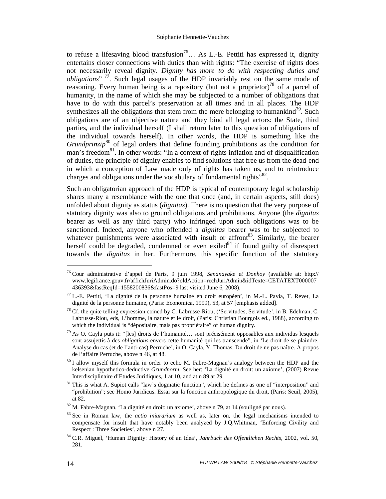to refuse a lifesaving blood transfusion<sup>76</sup>... As L.-E. Pettiti has expressed it, dignity entertains closer connections with duties than with rights: "The exercise of rights does not necessarily reveal dignity. *Dignity has more to do with respecting duties and obligations*" <sup>77</sup>. Such legal usages of the HDP invariably rest on the same mode of reasoning. Every human being is a repository (but not a proprietor)<sup>78</sup> of a parcel of humanity, in the name of which she may be subjected to a number of obligations that have to do with this parcel's preservation at all times and in all places. The HDP synthesizes all the obligations that stem from the mere belonging to humankind<sup>79</sup>. Such obligations are of an objective nature and they bind all legal actors: the State, third parties, and the individual herself (I shall return later to this question of obligations of the individual towards herself). In other words, the HDP is something like the *Grundprinzip*<sup>80</sup> of legal orders that define founding prohibitions as the condition for man's freedom<sup>81</sup>. In other words: "In a context of rights inflation and of disqualification of duties, the principle of dignity enables to find solutions that free us from the dead-end in which a conception of Law made only of rights has taken us, and to reintroduce charges and obligations under the vocabulary of fundamental rights<sup> $.82$ </sup>.

Such an obligatorian approach of the HDP is typical of contemporary legal scholarship shares many a resemblance with the one that once (and, in certain aspects, still does) unfolded about dignity as status (*dignitas*). There is no question that the very purpose of statutory dignity was also to ground obligations and prohibitions. Anyone (the *dignitas* bearer as well as any third party) who infringed upon such obligations was to be sanctioned. Indeed, anyone who offended a *dignitas* bearer was to be subjected to whatever punishments were associated with insult or affront<sup>83</sup>. Similarly, the bearer herself could be degraded, condemned or even exiled  $84$  if found guilty of disrespect towards the *dignitas* in her. Furthermore, this specific function of the statutory

<sup>76</sup> Cour administrative d'appel de Paris, 9 juin 1998, *Senanayake et Donhoy* (available at: http:// www.legifrance.gouv.fr/affichJuriAdmin.do?oldAction=rechJuriAdmin&idTexte=CETATEXT000007 436393&fastReqId=1558200836&fastPos=9 last visited June 6, 2008).

 $^{77}$  L.-E. Pettiti, 'La dignité de la personne humaine en droit européen', in M.-L. Pavia, T. Revet, La dignité de la personne humaine, (Paris: Economica, 1999), 53, at 57 [emphasis added].

<sup>&</sup>lt;sup>78</sup> Cf. the quite telling expression coined by C. Labrusse-Riou, ('Servitudes, Servitude', in B. Edelman, C. Labrusse-Riou, eds, L'homme, la nature et le droit, (Paris: Christian Bourgois ed., 1988), according to which the individual is "dépositaire, mais pas propriétaire" of human dignity.

<sup>79</sup> As O. Cayla puts it: "[les] droits de l'humanité… sont précisément opposables aux individus lesquels sont assujettis à des *obligations* envers cette humanité qui les transcende", in 'Le droit de se plaindre. Analyse du cas (et de l'anti-cas) Perruche', in O. Cayla, Y. Thomas, Du droit de ne pas naître. A propos de l'affaire Perruche, above n 46, at 48.

<sup>&</sup>lt;sup>80</sup> I allow myself this formula in order to echo M. Fabre-Magnan's analogy between the HDP and the kelsenian hypothetico-deductive *Grundnorm*. See her: 'La dignité en droit: un axiome', (2007) Revue Interdisciplinaire d'Etudes Juridiques, 1 at 10, and at n 89 at 29.

<sup>&</sup>lt;sup>81</sup> This is what A. Supiot calls "law's dogmatic function", which he defines as one of "interposition" and "prohibition"; see Homo Juridicus. Essai sur la fonction anthropologique du droit, (Paris: Seuil, 2005), at 82.

<sup>82</sup> M. Fabre-Magnan, 'La dignité en droit: un axiome', above n 79, at 14 (souligné par nous).

<sup>83</sup> See in Roman law, the *actio iniurarium* as well as, later on, the legal mechanisms intended to compensate for insult that have notably been analyzed by J.Q.Whitman, 'Enforcing Civility and Respect : Three Societies', above n 27*.*

<sup>84</sup> C.R. Miguel, 'Human Dignity: History of an Idea', *Jahrbuch des Öffentlichen Rechts*, 2002, vol. 50, 281.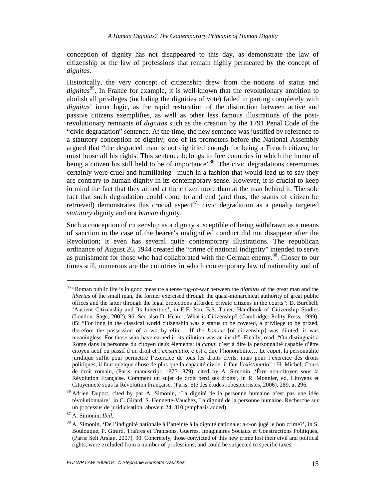conception of dignity has not disappeared to this day, as demonstrate the law of citizenship or the law of professions that remain highly permeated by the concept of *dignitas*.

Historically, the very concept of citizenship drew from the notions of status and dignitas<sup>85</sup>. In France for example, it is well-known that the revolutionary ambition to abolish all privileges (including the dignities of vote) failed in parting completely with *dignitas*' inner logic, as the rapid restoration of the distinction between active and passive citizens exemplifies, as well as other less famous illustrations of the postrevolutionary remnants of *dignitas* such as the creation by the 1791 Penal Code of the "civic degradation" sentence. At the time, the new sentence was justified by reference to a statutory conception of dignity; one of its promoters before the National Assembly argued that "the degraded man is not dignified enough for being a French citizen; he must loose all his rights. This sentence belongs to free countries in which the honor of being a citizen his still held to be of importance<sup>386</sup>. The civic degradations ceremonies certainly were cruel and humiliating –much in a fashion that would lead us to say they are contrary to human dignity in its contemporary sense. However, it is crucial to keep in mind the fact that they aimed at the citizen more than at the man behind it. The sole fact that such degradation could come to and end (and thus, the status of citizen be retrieved) demonstrates this crucial aspect<sup>87</sup>: civic degradation as a penalty targeted *statutory* dignity and not *human* dignity.

Such a conception of citizenship as a dignity susceptible of being withdrawn as a means of sanction in the case of the bearer's undignified conduct did not disappear after the Revolution; it even has several quite contemporary illustrations. The republican ordinance of August 26, 1944 created the "crime of national indignity" intended to serve as punishment for those who had collaborated with the German enemy.<sup>88</sup>. Closer to our times still, numerous are the countries in which contemporary law of nationality and of

<sup>85</sup> "Roman public life is in good measure a tense tug-of-war between the *dignitas* of the great man and the *libertas* of the small man, the former exercised through the quasi-monarchical authority of great public offices and the latter through the legal protections afforded private citizens in the courts": D. Burchell, 'Ancient Citizenship and Its Inheritors', in E.F. Isin, B.S. Tuner, Handbook of Citizenship Studies (London: Sage, 2002), 96. See also D. Heater, What is Citizenship? (Cambridge: Polity Press, 1999), 85: "For long in the classical world citizenship was a status to be coveted, a privilege to be prized, therefore the possession of a worthy elite… If the *honour* [of citizenship] was diluted, it was meaningless. For those who have earned it, its dilution was an insult". Finally, read: "On distinguait à Rome dans la personne du citoyen deux éléments: la *caput*, c'est à dire la personnalité capable d'être citoyen actif ou passif d'un droit et l'*existimatio*, c'est à dire l'honorabilité… Le *caput*, la personnalité juridique suffit pour permettre l'exercice de tous les droits civils, mais pour l'exercice des droits politiques, il faut quelque chose de plus que la capacité civile, il faut l'*existimatio*" : H. Michel, Cours de droit romain, (Paris: manuscript, 1875-1879), cited by A. Simonin, 'Être non-citoyen sous la Révolution Française. Comment un sujet de droit perd ses droits', in R. Monnier, ed, Citoyens et Citoyenneté sous la Révolution Française*,* (Paris: Sté des études robespierristes, 2006), 289, at 296.

<sup>86</sup> Adrien Duport, cited by par A. Simonin, 'La dignité de la personne humaine n'est pas une idée révolutionnaire', in C. Girard, S. Hennette-Vauchez, La dignité de la personne humaine. Recherche sur un processus de juridicisation, above n 24, 310 (emphasis added).

<sup>87</sup> A. Simonin, *Ibid.*.

<sup>88</sup> A. Simonin, 'De l'indignité nationale à l'atteinte à la dignité nationale: a-t-on jugé le bon crime?', in S. Boulouque, P. Girard, Traîtres et Trahisons. Guerres, Imaginaires Sociaux et Constructions Politiques, (Paris: Seli Arslan, 2007), 90. Concretely, those convicted of this new crime lost their civil and political rights, were excluded from a number of professions, and could be subjected to specific taxes.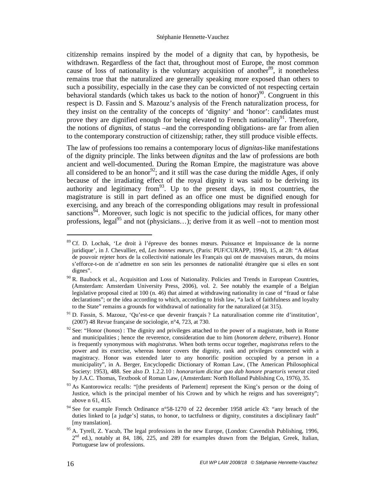citizenship remains inspired by the model of a dignity that can, by hypothesis, be withdrawn. Regardless of the fact that, throughout most of Europe, the most common cause of loss of nationality is the voluntary acquisition of another<sup>89</sup>, it nonetheless remains true that the naturalized are generally speaking more exposed than others to such a possibility, especially in the case they can be convicted of not respecting certain behavioral standards (which takes us back to the notion of honor)<sup>90</sup>. Congruent in this respect is D. Fassin and S. Mazouz's analysis of the French naturalization process, for they insist on the centrality of the concepts of 'dignity' and 'honor': candidates must prove they are dignified enough for being elevated to French nationality<sup>91</sup>. Therefore, the notions of *dignitas*, of status –and the corresponding obligations- are far from alien to the contemporary construction of citizenship; rather, they still produce visible effects.

The law of professions too remains a contemporary locus of *dignitas*-like manifestations of the dignity principle. The links between *dignitas* and the law of professions are both ancient and well-documented. During the Roman Empire, the magistrature was above all considered to be an honor<sup>92</sup>; and it still was the case during the middle Ages, if only because of the irradiating effect of the royal dignity it was said to be deriving its authority and legitimacy from  $93$ . Up to the present days, in most countries, the magistrature is still in part defined as an office one must be dignified enough for exercising, and any breach of the corresponding obligations may result in professional sanctions<sup>94</sup>. Moreover, such logic is not specific to the judicial offices, for many other professions, legal<sup>95</sup> and not (physicians...); derive from it as well –not to mention most

<sup>89</sup> Cf. D. Lochak, 'Le droit à l'épreuve des bonnes mœurs. Puissance et Impuissance de la norme juridique', in J. Chevallier, ed, *Les bonnes mœurs*, (Paris: PUF/CURAPP, 1994), 15, at 28: "A défaut de pouvoir rejeter hors de la collectivité nationale les Français qui ont de mauvaises mœurs, du moins s'efforce-t-on de n'admettre en son sein les personnes de nationalité étrangère que si elles en sont dignes".

<sup>&</sup>lt;sup>90</sup> R. Baubock et al., Acquisition and Loss of Nationality. Policies and Trends in European Countries, (Amsterdam: Amsterdam University Press, 2006), vol. 2. See notably the example of a Belgian legislative proposal cited at 100 (n. 46) that aimed at withdrawing nationality in case of "fraud or false declarations"; or the idea according to which, according to Irish law, "a lack of faithfulness and loyalty to the State" remains a grounds for withdrawal of nationality for the naturalized (at 315).

<sup>91</sup> D. Fassin, S. Mazouz, 'Qu'est-ce que devenir français ? La naturalisation comme rite d'institution', (2007) 48 Revue française de sociologie, n°4, 723, at 730.

<sup>92</sup> See: "Honor (*honos*) : The dignity and privileges attached to the power of a magistrate, both in Rome and municipalities ; hence the reverence, consideration due to him (*honorem debere, tribuere*). Honor is frequently synonymous with *magistratus*. When both terms occur together, *magistratus* refers to the power and its exercise, whereas honor covers the dignity, rank and privileges connected with a magistracy. Honor was extended later to any honorific position occupied by a person in a municipality", in A. Berger, Encyclopedic Dictionary of Roman Law, (The American Philosophical Society: 1953), 488. See also *D.* 1.2.2.10 : *honorarium dicitur quo dab honore praetoris venerat* cited by J.A.C. Thomas, Textbook of Roman Law, (Amsterdam: North Holland Publishing Co, 1976), 35.

<sup>93</sup> As Kantorowicz recalls: "[the presidents of Parlement] represent the King's person or the doing of Justice, which is the principal member of his Crown and by which he reigns and has sovereignty"; above n 61, 415.

<sup>&</sup>lt;sup>94</sup> See for example French Ordinance n°58-1270 of 22 december 1958 article 43: "any breach of the duties linked to [a judge's] status, to honor, to tactfulness or dignity, constitutes a disciplinary fault" [my translation].

<sup>&</sup>lt;sup>95</sup> A. Tyrell, Z. Yacub, The legal professions in the new Europe, (London: Cavendish Publishing, 1996,  $2<sup>nd</sup>$  ed.), notably at 84, 186, 225, and 289 for examples drawn from the Belgian, Greek, Italian, Portuguese law of professions.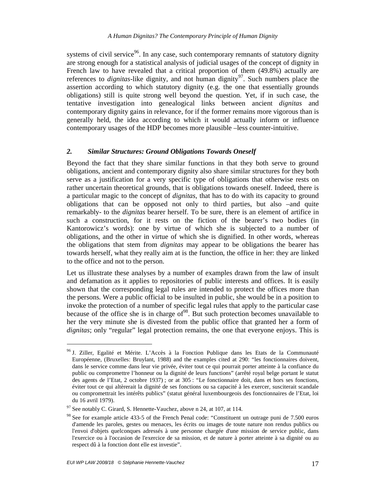systems of civil service<sup>96</sup>. In any case, such contemporary remnants of statutory dignity are strong enough for a statistical analysis of judicial usages of the concept of dignity in French law to have revealed that a critical proportion of them (49.8%) actually are references to *dignitas*-like dignity, and not human dignity<sup>97</sup>. Such numbers place the assertion according to which statutory dignity (e.g. the one that essentially grounds obligations) still is quite strong well beyond the question. Yet, if in such case, the tentative investigation into genealogical links between ancient *dignitas* and contemporary dignity gains in relevance, for if the former remains more vigorous than is generally held, the idea according to which it would actually inform or influence contemporary usages of the HDP becomes more plausible –less counter-intuitive.

#### *2. Similar Structures: Ground Obligations Towards Oneself*

Beyond the fact that they share similar functions in that they both serve to ground obligations, ancient and contemporary dignity also share similar structures for they both serve as a justification for a very specific type of obligations that otherwise rests on rather uncertain theoretical grounds, that is obligations towards oneself. Indeed, there is a particular magic to the concept of *dignitas*, that has to do with its capacity to ground obligations that can be opposed not only to third parties, but also –and quite remarkably- to the *dignitas* bearer herself. To be sure, there is an element of artifice in such a construction, for it rests on the fiction of the bearer's two bodies (in Kantorowicz's words): one by virtue of which she is subjected to a number of obligations, and the other in virtue of which she is dignified. In other words, whereas the obligations that stem from *dignitas* may appear to be obligations the bearer has towards herself, what they really aim at is the function, the office in her: they are linked to the office and not to the person.

Let us illustrate these analyses by a number of examples drawn from the law of insult and defamation as it applies to repositories of public interests and offices. It is easily shown that the corresponding legal rules are intended to protect the offices more than the persons. Were a public official to be insulted in public, she would be in a position to invoke the protection of a number of specific legal rules that apply to the particular case because of the office she is in charge of  $98$ . But such protection becomes unavailable to her the very minute she is divested from the public office that granted her a form of *dignitas*; only "regular" legal protection remains, the one that everyone enjoys. This is

<sup>&</sup>lt;sup>96</sup> J. Ziller, Egalité et Mérite. L'Accès à la Fonction Publique dans les Etats de la Communauté Européenne, (Bruxelles: Bruylant, 1988) and the examples cited at 290: "les fonctionnaires doivent, dans le service comme dans leur vie privée, éviter tout ce qui pourrait porter atteinte à la confiance du public ou compromettre l'honneur ou la dignité de leurs functions" (arrêté royal belge portant le statut des agents de l'Etat, 2 octobre 1937) ; or at 305 : "Le fonctionnaire doit, dans et hors ses fonctions, éviter tout ce qui altèrerait la dignité de ses fonctions ou sa capacité à les exercer, susciterait scandale ou compromettrait les intérêts publics" (statut général luxembourgeois des fonctionnaires de l'Etat, loi du 16 avril 1979).

 $97$  See notably C. Girard, S. Hennette-Vauchez, above n 24, at 107, at 114.

<sup>&</sup>lt;sup>98</sup> See for example article 433-5 of the French Penal code: "Constituent un outrage puni de 7.500 euros d'amende les paroles, gestes ou menaces, les écrits ou images de toute nature non rendus publics ou l'envoi d'objets quelconques adressés à une personne chargée d'une mission de service public, dans l'exercice ou à l'occasion de l'exercice de sa mission, et de nature à porter atteinte à sa dignité ou au respect dû à la fonction dont elle est investie".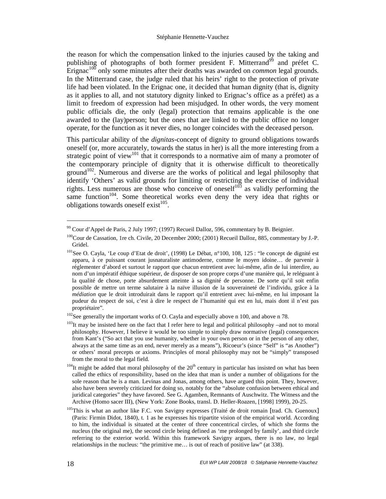the reason for which the compensation linked to the injuries caused by the taking and publishing of photographs of both former president F. Mitterrand<sup>99</sup> and préfet C. Erignac<sup>100</sup> only some minutes after their deaths was awarded on *common* legal grounds. In the Mitterrand case, the judge ruled that his heirs' right to the protection of private life had been violated. In the Erignac one, it decided that human dignity (that is, dignity as it applies to all, and not statutory dignity linked to Erignac's office as a préfet) as a limit to freedom of expression had been misjudged. In other words, the very moment public officials die, the only (legal) protection that remains applicable is the one awarded to the (lay)person; but the ones that are linked to the public office no longer operate, for the function as it never dies, no longer coincides with the deceased person.

This particular ability of the *dignitas-*concept of dignity to ground obligations towards oneself (or, more accurately, towards the status in her) is all the more interesting from a strategic point of view<sup>101</sup> that it corresponds to a normative aim of many a promoter of the contemporary principle of dignity that it is otherwise difficult to theoretically ground<sup>102</sup>. Numerous and diverse are the works of political and legal philosophy that identify 'Others' as valid grounds for limiting or restricting the exercise of individual rights. Less numerous are those who conceive of oneself<sup>103</sup> as validly performing the same function<sup>104</sup>. Some theoretical works even deny the very idea that rights or obligations towards oneself exist $105$ .

<sup>&</sup>lt;sup>99</sup> Cour d'Appel de Paris, 2 July 1997; (1997) Recueil Dalloz, 596, commentary by B. Beignier.

<sup>&</sup>lt;sup>100</sup>Cour de Cassation, 1re ch. Civile, 20 December 2000; (2001) Recueil Dalloz, 885, commentary by J.-P. Gridel.

<sup>&</sup>lt;sup>101</sup>See O. Cayla, 'Le coup d'Etat de droit', (1998) Le Débat, n°100, 108, 125 : "le concept de dignité est apparu, à ce puissant courant jusnaturaliste antimoderne, comme le moyen idoine… de parvenir à réglementer d'abord et surtout le rapport que chacun entretient avec lui-même, afin de lui interdire, au nom d'un impératif éthique supérieur, de disposer de son propre corps d'une manière qui, le reléguant à la qualité de chose, porte absurdement atteinte à sa dignité de personne. De sorte qu'il soit enfin possible de mettre un terme salutaire à la naïve illusion de la souveraineté de l'individu, grâce à la *médiation* que le droit introduirait dans le rapport qu'il entretient avec lui-même, en lui imposant la pudeur du respect de soi, c'est à dire le respect de l'humanité qui est en lui, mais dont il n'est pas propriétaire".

<sup>&</sup>lt;sup>102</sup>See generally the important works of O. Cayla and especially above n 100, and above n 78.

 $103$ It may be insisted here on the fact that I refer here to legal and political philosophy –and not to moral philosophy. However, I believe it would be too simple to simply draw normative (legal) consequences from Kant's ("So act that you use humanity, whether in your own person or in the person of any other, always at the same time as an end, never merely as a means"), Ricoeur's (since "Self" is "as Another") or others' moral precepts or axioms. Principles of moral philosophy may not be "simply" transposed from the moral to the legal field.

 $104$ It might be added that moral philosophy of the  $20<sup>th</sup>$  century in particular has insisted on what has been called the ethics of responsibility, based on the idea that man is under a number of obligations for the sole reason that he is a man. Levinas and Jonas, among others, have argued this point. They, however, also have been severely criticized for doing so, notably for the "absolute confusion between ethical and juridical categories" they have favored. See G. Agamben, Remnants of Auschwitz. The Witness and the Archive (Homo sacer III), (New York: Zone Books, transl. D. Heller-Roazen, [1998] 1999), 20-25.

<sup>&</sup>lt;sup>105</sup>This is what an author like F.C. von Savigny expresses (Traité de droit romain [trad. Ch. Guenoux] (Paris: Firmin Didot, 1840), t. 1 as he expresses his tripartite vision of the empirical world. According to him, the individual is situated at the center of three concentrical circles, of which she forms the nucleus (the original me), the second circle being defined as 'me prolonged by family', and third circle referring to the exterior world. Within this framework Savigny argues, there is no law, no legal relationships in the nucleus: "the primitive me… is out of reach of positive law" (at 338).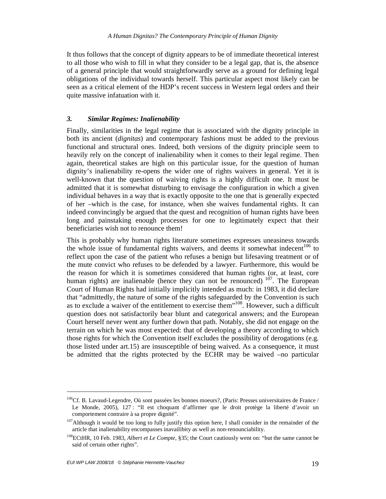It thus follows that the concept of dignity appears to be of immediate theoretical interest to all those who wish to fill in what they consider to be a legal gap, that is, the absence of a general principle that would straightforwardly serve as a ground for defining legal obligations of the individual towards herself. This particular aspect most likely can be seen as a critical element of the HDP's recent success in Western legal orders and their quite massive infatuation with it.

#### *3. Similar Regimes: Inalienability*

Finally, similarities in the legal regime that is associated with the dignity principle in both its ancient (*dignitas*) and contemporary fashions must be added to the previous functional and structural ones. Indeed, both versions of the dignity principle seem to heavily rely on the concept of inalienability when it comes to their legal regime. Then again, theoretical stakes are high on this particular issue, for the question of human dignity's inalienability re-opens the wider one of rights waivers in general. Yet it is well-known that the question of waiving rights is a highly difficult one. It must be admitted that it is somewhat disturbing to envisage the configuration in which a given individual behaves in a way that is exactly opposite to the one that is generally expected of her –which is the case, for instance, when she waives fundamental rights. It can indeed convincingly be argued that the quest and recognition of human rights have been long and painstaking enough processes for one to legitimately expect that their beneficiaries wish not to renounce them!

This is probably why human rights literature sometimes expresses uneasiness towards the whole issue of fundamental rights waivers, and deems it somewhat indecent<sup>106</sup> to reflect upon the case of the patient who refuses a benign but lifesaving treatment or of the mute convict who refuses to be defended by a lawyer. Furthermore, this would be the reason for which it is sometimes considered that human rights (or, at least, core human rights) are inalienable (hence they can not be renounced)<sup>107</sup>. The European Court of Human Rights had initially implicitly intended as much: in 1983, it did declare that "admittedly, the nature of some of the rights safeguarded by the Convention is such as to exclude a waiver of the entitlement to exercise them<sup>"108</sup>. However, such a difficult question does not satisfactorily bear blunt and categorical answers; and the European Court herself never went any further down that path. Notably, she did not engage on the terrain on which he was most expected: that of developing a theory according to which those rights for which the Convention itself excludes the possibility of derogations (e.g. those listed under art.15) are insusceptible of being waived. As a consequence, it must be admitted that the rights protected by the ECHR may be waived –no particular

 $106$ Cf. B. Lavaud-Legendre, Où sont passées les bonnes moeurs?, (Paris: Presses universitaires de France / Le Monde, 2005), 127 : "Il est choquant d'affirmer que le droit protège la liberté d'avoir un comportement contraire à sa propre dignité".

<sup>&</sup>lt;sup>107</sup>Although it would be too long to fully justify this option here, I shall consider in the remainder of the article that inalienability encompasses inavailibity as well as non-renounciability.

<sup>108</sup>ECtHR, 10 Feb. 1983, *Albert et Le Compte*, §35; the Court cautiously went on: "but the same cannot be said of certain other rights".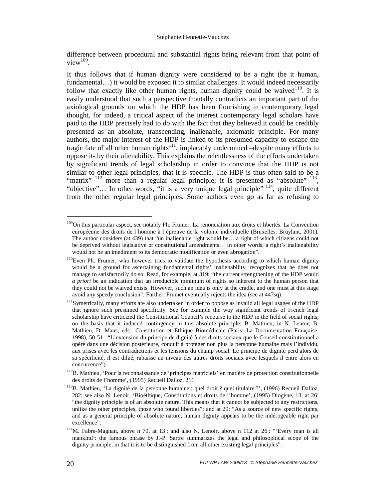difference between procedural and substantial rights being relevant from that point of  $view^{109}$ .

It thus follows that if human dignity were considered to be a right (be it human, fundamental...) it would be exposed it to similar challenges. It would indeed necessarily follow that exactly like other human rights, human dignity could be waived<sup>110</sup>. It is easily understood that such a perspective frontally contradicts an important part of the axiological grounds on which the HDP has been flourishing in contemporary legal thought, for indeed, a critical aspect of the interest contemporary legal scholars have paid to the HDP precisely had to do with the fact that they believed it could be credibly presented as an absolute, transcending, inalienable, axiomatic principle. For many authors, the major interest of the HDP is linked to its presumed capacity to escape the tragic fate of all other human rights<sup>111</sup>, implacably undermined  $-\text{despite}$  many efforts to oppose it- by their alienability. This explains the relentlessness of the efforts undertaken by significant trends of legal scholarship in order to convince that the HDP is not similar to other legal principles, that it is specific. The HDP is thus often said to be a "matrix"  $^{112}$  more than a regular legal principle; it is presented as "absolute"  $^{113}$ , "objective"... In other words, "it is a very unique legal principle"<sup>114</sup>, quite different from the other regular legal principles. Some authors even go as far as refusing to

<sup>&</sup>lt;sup>109</sup>On this particular aspect, see notably Ph. Frumer, La renonciation aux droits et libertés. La Convention européenne des droits de l'homme à l'épreuve de la volonté individuelle (Bruxelles: Bruylant, 2001). The author considers (at 439) that "un inalienable right would be… a right of which citizens could not be deprived without legislative or constitutional amendments… In other words, a right's inalienability would not be an imediment to its democratic modification or even abrogation".

<sup>&</sup>lt;sup>110</sup>Even Ph. Frumer, who however tries to validate the hypothesis according to which human dignity would be a ground for ascertaining fundamental rights' inalienability, recognizes that he does not manage to satisfactorily do so. Read, for example, at 319: "the current strengthening of the HDP would *a priori* be an indication that an irreducible minimum of rights so inherent to the human person that they could not be waived exists. However, such an idea is only at the cradle, and one must at this stage avoid any speedy conclusion". Further, Frumet eventually rejects the idea (see at 447sq).

<sup>&</sup>lt;sup>111</sup>Symetrically, many efforts are also undertaken in order to oppose as invalid all legal usages of the HDP that ignore such presumed specificity. See for example the way significant trends of French legal scholarship have criticized the Constitutional Council's recourse to the HDP in the field of social rights, on the basis that it induced contingency in this absolute principle; B. Mathieu, in N. Lenoir, B. Mathieu, D. Maus, eds., Constitution et Ethique Biomédicale (Paris: La Documentation Française, 1998), 50-51 : "L'extension du principe de dignité à des droits sociaux que le Conseil constitutionnel a opéré dans une décision postérieure, conduit à protéger non plus la personne humaine mais l'individu, aux prises avec les contradictions et les tensions du champ social. Le principe de dignité perd alors de sa spécificité, il est dilué, rabaissé au niveau des autres droits sociaux avec lesquels il entre alors en concurrence").

<sup>&</sup>lt;sup>112</sup>B. Mathieu, 'Pour la reconnaissance de 'principes matriciels' en matière de protection constitutionnelle des droits de l'homme', (1995) Recueil Dalloz, 211.

<sup>&</sup>lt;sup>113</sup>B. Mathieu, 'La dignité de la personne humaine : quel droit ? quel titulaire ?', (1996) Recueil Dalloz, 282; see also N. Lenoir, 'Bioéthique, Constitutions et droits de l'homme', (1995) Diogène, 13, at 26: "the dignity principle is of an absolute nature. This means that it cannot be subjected to any restrictions, unlike the other principles, those who found liberties"; and at 29: "As a source of new specific rights, and as a general principle of absolute nature, human dignity appears to be the indérogeable right par excellence".

 $114$ M. Fabre-Magnan, above n 79, at 13; and also N. Lenoir, above n 112 at 26: "Every man is all mankind': the famous phrase by J.-P. Sartre summarizes the legal and philosophical scope of the dignity principle, in that it is to be distinguished from all other existing legal principles".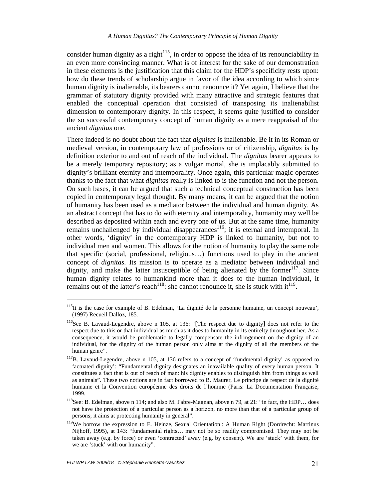consider human dignity as a right<sup>115</sup>, in order to oppose the idea of its renounciability in an even more convincing manner. What is of interest for the sake of our demonstration in these elements is the justification that this claim for the HDP's specificity rests upon: how do these trends of scholarship argue in favor of the idea according to which since human dignity is inalienable, its bearers cannot renounce it? Yet again, I believe that the grammar of statutory dignity provided with many attractive and strategic features that enabled the conceptual operation that consisted of transposing its inalienabilist dimension to contemporary dignity. In this respect, it seems quite justified to consider the so successful contemporary concept of human dignity as a mere reappraisal of the ancient *dignitas* one.

There indeed is no doubt about the fact that *dignitas* is inalienable. Be it in its Roman or medieval version, in contemporary law of professions or of citizenship, *dignitas* is by definition exterior to and out of reach of the individual. The *dignitas* bearer appears to be a merely temporary repository; as a vulgar mortal, she is implacably submitted to dignity's brilliant eternity and intemporality. Once again, this particular magic operates thanks to the fact that what *dignitas* really is linked to is the function and not the person. On such bases, it can be argued that such a technical conceptual construction has been copied in contemporary legal thought. By many means, it can be argued that the notion of humanity has been used as a mediator between the individual and human dignity. As an abstract concept that has to do with eternity and intemporality, humanity may well be described as deposited within each and every one of us. But at the same time, humanity remains unchallenged by individual disappearances<sup>116</sup>; it is eternal and intemporal. In other words, 'dignity' in the contemporary HDP is linked to humanity, but not to individual men and women. This allows for the notion of humanity to play the same role that specific (social, professional, religious…) functions used to play in the ancient concept of *dignitas*. Its mission is to operate as a mediator between individual and dignity, and make the latter insusceptible of being alienated by the former $117$ . Since human dignity relates to humankind more than it does to the human individual, it remains out of the latter's reach<sup>118</sup>: she cannot renounce it, she is stuck with it<sup>119</sup>.

<sup>&</sup>lt;sup>115</sup>It is the case for example of B. Edelman, 'La dignité de la personne humaine, un concept nouveau', (1997) Recueil Dalloz, 185.

<sup>&</sup>lt;sup>116</sup>See B. Lavaud-Legendre, above n 105, at 136: "[The respect due to dignity] does not refer to the respect due to this or that individual as much as it does to humanity in its entirelty throughout her. As a consequence, it would be problematic to legally compensate the infringement on the dignity of an individual, for the dignity of the human person only aims at the dignity of all the members of the human genre".

<sup>&</sup>lt;sup>117</sup>B. Lavaud-Legendre, above n 105, at 136 refers to a concept of 'fundmental dignity' as opposed to 'actuated dignity': "Fundamental dignity designates an inavailable quality of every human person. It constitutes a fact that is out of reach of man: his dignity enables to distinguish him from things as well as animals". These two notions are in fact borrowed to B. Maurer, Le principe de respect de la dignité humaine et la Convention européenne des droits de l'homme (Paris: La Documentation Française, 1999.

<sup>&</sup>lt;sup>118</sup>See: B. Edelman, above n 114; and also M. Fabre-Magnan, above n 79, at 21: "in fact, the HDP... does not have the protection of a particular person as a horizon, no more than that of a particular group of persons; it aims at protecting humanity in general".

<sup>&</sup>lt;sup>119</sup>We borrow the expression to E. Heinze, Sexual Orientation : A Human Right (Dordrecht: Martinus Nijhoff, 1995), at 143: "fundamental rights… may not be so readily compromised. They may not be taken away (e.g. by force) or even 'contracted' away (e.g. by consent). We are 'stuck' with them, for we are 'stuck' with our humanity".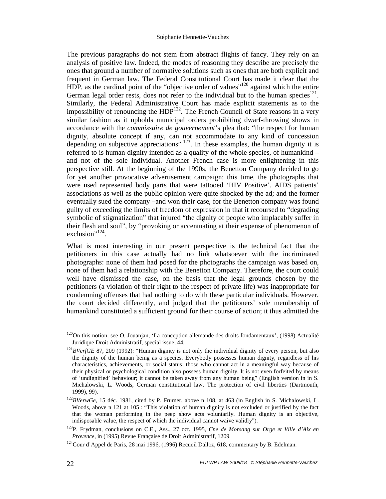The previous paragraphs do not stem from abstract flights of fancy. They rely on an analysis of positive law. Indeed, the modes of reasoning they describe are precisely the ones that ground a number of normative solutions such as ones that are both explicit and frequent in German law. The Federal Constitutional Court has made it clear that the HDP, as the cardinal point of the "objective order of values"<sup>120</sup> against which the entire German legal order rests, does not refer to the individual but to the human species $^{121}$ . Similarly, the Federal Administrative Court has made explicit statements as to the impossibility of renouncing the  $HDP<sup>122</sup>$ . The French Council of State reasons in a very similar fashion as it upholds municipal orders prohibiting dwarf-throwing shows in accordance with the *commissaire de gouvernement*'s plea that: "the respect for human dignity, absolute concept if any, can not accommodate to any kind of concession depending on subjective appreciations"<sup>123</sup>. In these examples, the human dignity it is referred to is human dignity intended as a quality of the whole species, of humankind – and not of the sole individual. Another French case is more enlightening in this perspective still. At the beginning of the 1990s, the Benetton Company decided to go for yet another provocative advertisement campaign; this time, the photographs that were used represented body parts that were tattooed 'HIV Positive'. AIDS patients' associations as well as the public opinion were quite shocked by the ad; and the former eventually sued the company –and won their case, for the Benetton company was found guilty of exceeding the limits of freedom of expression in that it recoursed to "degrading symbolic of stigmatization" that injured "the dignity of people who implacably suffer in their flesh and soul", by "provoking or accentuating at their expense of phenomenon of exclusion"<sup>124</sup>.

What is most interesting in our present perspective is the technical fact that the petitioners in this case actually had no link whatsoever with the incriminated photographs: none of them had posed for the photographs the campaign was based on, none of them had a relationship with the Benetton Company. Therefore, the court could well have dismissed the case, on the basis that the legal grounds chosen by the petitioners (a violation of their right to the respect of private life) was inappropriate for condemning offenses that had nothing to do with these particular individuals. However, the court decided differently, and judged that the petitioners' sole membership of humankind constituted a sufficient ground for their course of action; it thus admitted the

<sup>&</sup>lt;sup>120</sup>On this notion, see O. Jouanjan, 'La conception allemande des droits fondamentaux', (1998) Actualité Juridique Droit Administratif, special issue, 44.

<sup>&</sup>lt;sup>121</sup>BVerfGE 87, 209 (1992): "Human dignity is not only the individual dignity of every person, but also the dignity of the human being as a species. Everybody possesses human dignity, regardless of his characteristics, achievements, or social status; those who cannot act in a meaningful way because of their physical or psychological condition also possess human dignity. It is not even forfeited by means of 'undignified' behaviour; it cannot be taken away from any human being" (English version in in S. Michalowski, L. Woods, German constitutional law. The protection of civil liberties (Dartmouth, 1999), 99).

<sup>122</sup>*BVerwGe*, 15 déc. 1981, cited by P. Frumer, above n 108, at 463 (in English in S. Michalowski, L. Woods, above n 121 at 105 : "This violation of human dignity is not excluded or justified by the fact that the woman performing in the peep show acts voluntarily. Human dignity is an objective, indisposable value, the respect of which the individual cannot waive validly").

<sup>123</sup>P. Frydman, conclusions on C.E., Ass., 27 oct. 1995, *Cne de Morsang sur Orge et Ville d'Aix en Provence*, in (1995) Revue Française de Droit Administratif, 1209.

 $124$ Cour d'Appel de Paris, 28 mai 1996, (1996) Recueil Dalloz, 618, commentary by B. Edelman.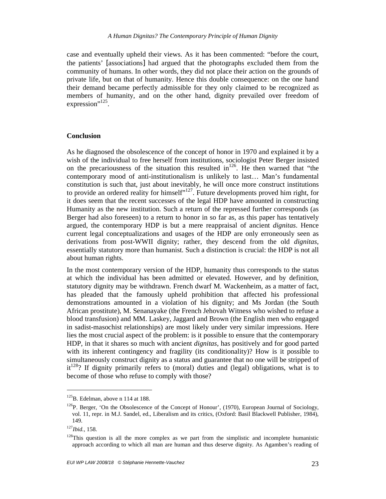case and eventually upheld their views. As it has been commented: "before the court, the patients' [associations] had argued that the photographs excluded them from the community of humans. In other words, they did not place their action on the grounds of private life, but on that of humanity. Hence this double consequence: on the one hand their demand became perfectly admissible for they only claimed to be recognized as members of humanity, and on the other hand, dignity prevailed over freedom of expression"<sup>125</sup>.

#### **Conclusion**

As he diagnosed the obsolescence of the concept of honor in 1970 and explained it by a wish of the individual to free herself from institutions, sociologist Peter Berger insisted on the precariousness of the situation this resulted in<sup>126</sup>. He then warned that "the contemporary mood of anti-institutionalism is unlikely to last… Man's fundamental constitution is such that, just about inevitably, he will once more construct institutions to provide an ordered reality for himself"<sup>127</sup>. Future developments proved him right, for it does seem that the recent successes of the legal HDP have amounted in constructing Humanity as the new institution. Such a return of the repressed further corresponds (as Berger had also foreseen) to a return to honor in so far as, as this paper has tentatively argued, the contemporary HDP is but a mere reappraisal of ancient *dignitas*. Hence current legal conceptualizations and usages of the HDP are only erroneously seen as derivations from post-WWII dignity; rather, they descend from the old *dignitas*, essentially statutory more than humanist. Such a distinction is crucial: the HDP is not all about human rights.

In the most contemporary version of the HDP, humanity thus corresponds to the status at which the individual has been admitted or elevated. However, and by definition, statutory dignity may be withdrawn. French dwarf M. Wackenheim, as a matter of fact, has pleaded that the famously upheld prohibition that affected his professional demonstrations amounted in a violation of his dignity; and Ms Jordan (the South African prostitute), M. Senanayake (the French Jehovah Witness who wished to refuse a blood transfusion) and MM. Laskey, Jaggard and Brown (the English men who engaged in sadist-masochist relationships) are most likely under very similar impressions. Here lies the most crucial aspect of the problem: is it possible to ensure that the contemporary HDP, in that it shares so much with ancient *dignitas*, has positively and for good parted with its inherent contingency and fragility (its conditionality)? How is it possible to simultaneously construct dignity as a status and guarantee that no one will be stripped of  $it^{128}$ ? If dignity primarily refers to (moral) duties and (legal) obligations, what is to become of those who refuse to comply with those?

<sup>&</sup>lt;sup>125</sup>B. Edelman, above n 114 at 188.

<sup>&</sup>lt;sup>126</sup>P. Berger, 'On the Obsolescence of the Concept of Honour', (1970), European Journal of Sociology, vol. 11, repr. in M.J. Sandel, ed., Liberalism and its critics, (Oxford: Basil Blackwell Publisher, 1984), 149.

<sup>127</sup>*Ibid.*, 158.

 $128$ This question is all the more complex as we part from the simplistic and incomplete humanistic approach according to which all man are human and thus deserve dignity. As Agamben's reading of